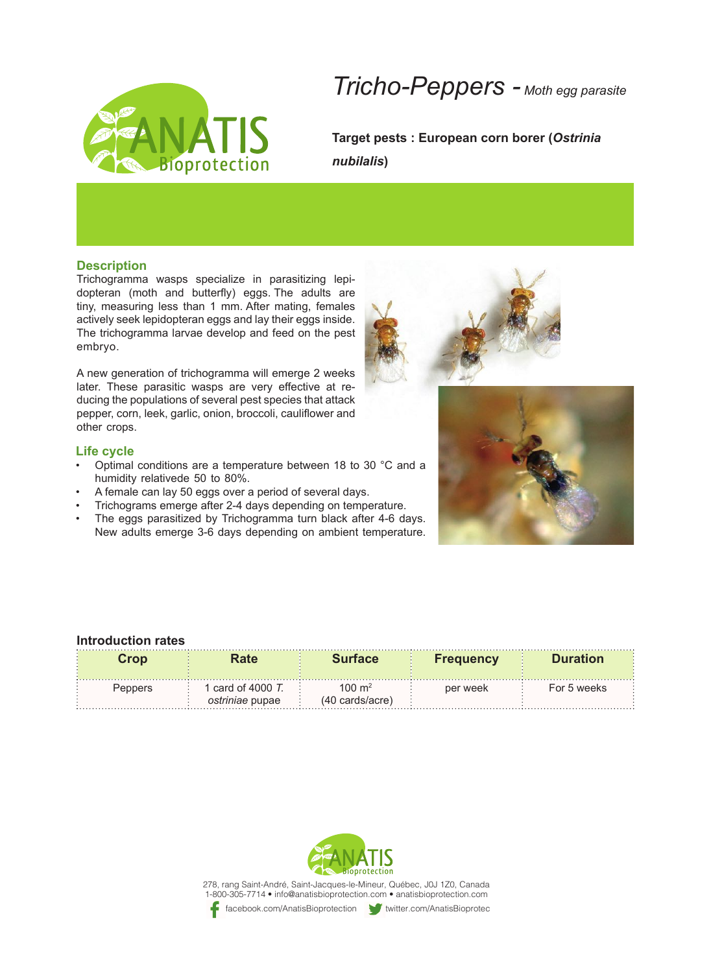

## *Tricho-Peppers - Moth egg parasite*

**Target pests: European corn borer (Ostrinia (***nubilalis*

### **Description**

dopteran (moth and butterfly) eggs. The adults are Trichogramma wasps specialize in parasitizing lepitiny, measuring less than 1 mm. After mating, females actively seek lepidopteran eggs and lay their eggs inside. The trichogramma larvae develop and feed on the pest .embryo

A new generation of trichogramma will emerge 2 weeks ducing the populations of several pest species that attack later. These parasitic wasps are very effective at repepper, corn, leek, garlic, onion, broccoli, cauliflower and other crops.

### **Life cycle**

- Optimal conditions are a temperature between 18 to 30 °C and a humidity relativede 50 to 80%.
- A female can lay 50 eggs over a period of several days.
- Trichograms emerge after 2-4 days depending on temperature.
- The eggs parasitized by Trichogramma turn black after 4-6 days. New adults emerge 3-6 days depending on ambient temperature.





### **Introduction rates**

| Cron    |                                            | <b>Surface</b>                       | <b>Frequency</b> | <b>Duration</b> |
|---------|--------------------------------------------|--------------------------------------|------------------|-----------------|
| Penners | card of 4000 $T$<br><i>ostriniae</i> pupae | $100 \text{ m}^2$<br>(40 cards/acre) | per week         | For 5 weeks     |



278, rang Saint-André, Saint-Jacques-le-Mineur, Québec, J0J 1Z0, Canada 1-800-305-7714 · info@anatisbioprotection.com · anatisbioprotection.com facebook.com/AnatisBioprotection twitter.com/AnatisBioprotec